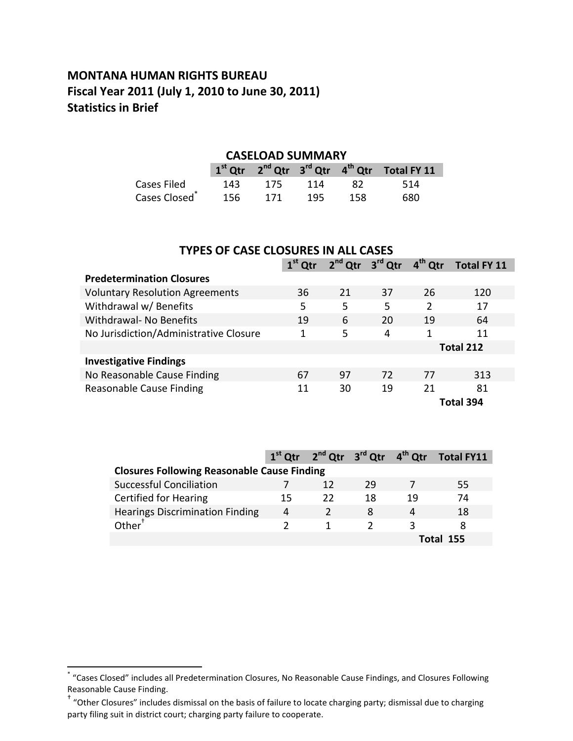## **MONTANA HUMAN RIGHTS BUREAU Fiscal Year 2011 (July 1, 2010 to June 30, 2011) Statistics in Brief**

#### **CASELOAD SUMMARY**

|                           |     |     |     |     | $1st$ Qtr $2nd$ Qtr $3rd$ Qtr $4th$ Qtr Total FY 11 |
|---------------------------|-----|-----|-----|-----|-----------------------------------------------------|
| Cases Filed               | 143 | 175 | 114 | -82 | -514                                                |
| Cases Closed <sup>®</sup> | 156 | 171 | 195 | 158 | 680                                                 |

| <b>TYPES OF CASE CLOSURES IN ALL CASES</b> |           |                                                                            |    |               |           |  |  |
|--------------------------------------------|-----------|----------------------------------------------------------------------------|----|---------------|-----------|--|--|
|                                            | $1st$ Qtr | 2 <sup>nd</sup> Qtr 3 <sup>rd</sup> Qtr<br>$4th$ Qtr<br><b>Total FY 11</b> |    |               |           |  |  |
| <b>Predetermination Closures</b>           |           |                                                                            |    |               |           |  |  |
| <b>Voluntary Resolution Agreements</b>     | 36        | 21                                                                         | 37 | 26            | 120       |  |  |
| Withdrawal w/ Benefits                     | 5         | 5                                                                          | 5  | $\mathcal{P}$ | 17        |  |  |
| Withdrawal- No Benefits                    | 19        | 6                                                                          | 20 | 19            | 64        |  |  |
| No Jurisdiction/Administrative Closure     | 1         | 5                                                                          | 4  | 1             | 11        |  |  |
|                                            |           |                                                                            |    |               | Total 212 |  |  |
| <b>Investigative Findings</b>              |           |                                                                            |    |               |           |  |  |
| No Reasonable Cause Finding                | 67        | 97                                                                         | 72 | 77            | 313       |  |  |
| Reasonable Cause Finding                   | 11        | 30                                                                         | 19 | 21            | 81        |  |  |
| Total 394                                  |           |                                                                            |    |               |           |  |  |

|                                                    |    | 1 <sup>st</sup> Qtr 2 <sup>nd</sup> Qtr 3 <sup>rd</sup> Qtr 4 <sup>th</sup> Qtr |    |    | Total FY11 |
|----------------------------------------------------|----|---------------------------------------------------------------------------------|----|----|------------|
| <b>Closures Following Reasonable Cause Finding</b> |    |                                                                                 |    |    |            |
| <b>Successful Conciliation</b>                     |    |                                                                                 | 29 |    | 55         |
| <b>Certified for Hearing</b>                       | 15 | 22                                                                              | 18 | 19 | 74         |
| <b>Hearings Discrimination Finding</b>             | 4  |                                                                                 | 8  | 4  | 18         |
| Other <sup>†</sup>                                 |    |                                                                                 |    |    |            |
|                                                    |    |                                                                                 |    |    | Total 155  |

 \* "Cases Closed" includes all Predetermination Closures, No Reasonable Cause Findings, and Closures Following Reasonable Cause Finding.

<sup>†</sup> "Other Closures" includes dismissal on the basis of failure to locate charging party; dismissal due to charging party filing suit in district court; charging party failure to cooperate.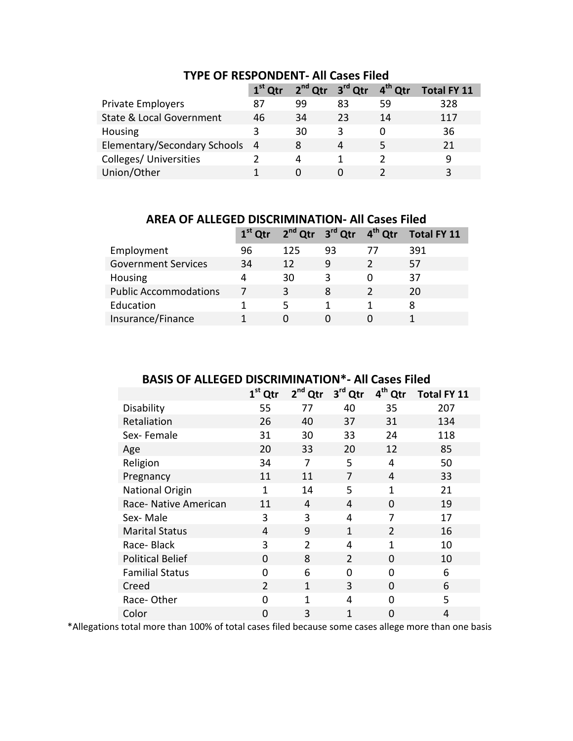|                                     | $1st$ Otr |    | $2^{nd}$ Qtr $3^{rd}$ Qtr $4^{th}$ Qtr |    | <b>Total FY 11</b> |
|-------------------------------------|-----------|----|----------------------------------------|----|--------------------|
| <b>Private Employers</b>            | 87        | 99 | 83                                     | 59 | 328                |
| <b>State &amp; Local Government</b> | 46        | 34 | 23                                     | 14 | 117                |
| Housing                             | ર         | 30 | ζ                                      | O  | 36                 |
| Elementary/Secondary Schools 4      |           |    | $\overline{a}$                         | 5  | 21                 |
| Colleges/ Universities              |           | Δ  |                                        |    | q                  |
| Union/Other                         |           |    |                                        |    | з                  |

## **TYPE OF RESPONDENT- All Cases Filed**

**AREA OF ALLEGED DISCRIMINATION- All Cases Filed**

|                              | $1st$ Qtr | 2 <sup>nd</sup> Qtr 3 <sup>rd</sup> Qtr 4 <sup>th</sup> Qtr |    |                | Total FY 11 |
|------------------------------|-----------|-------------------------------------------------------------|----|----------------|-------------|
| Employment                   | 96        | 125                                                         | 93 | $\prime\prime$ | 391         |
| <b>Government Services</b>   | 34        | 12                                                          | 9  |                | 57          |
| Housing                      | 4         | 30                                                          | 3  |                | 37          |
| <b>Public Accommodations</b> | 7         |                                                             | 8  |                | 20          |
| Education                    |           | 5                                                           |    |                | 8           |
| Insurance/Finance            |           |                                                             |    |                |             |

## **BASIS OF ALLEGED DISCRIMINATION\*- All Cases Filed**

|                         | $1st$ Qtr      | 2 <sup>nd</sup> Qtr | 3rd Qtr        | 4 <sup>th</sup> Qtr | <b>Total FY 11</b> |
|-------------------------|----------------|---------------------|----------------|---------------------|--------------------|
| Disability              | 55             | 77                  | 40             | 35                  | 207                |
| Retaliation             | 26             | 40                  | 37             | 31                  | 134                |
| Sex-Female              | 31             | 30                  | 33             | 24                  | 118                |
| Age                     | 20             | 33                  | 20             | 12                  | 85                 |
| Religion                | 34             | 7                   | 5              | 4                   | 50                 |
| Pregnancy               | 11             | 11                  | 7              | 4                   | 33                 |
| <b>National Origin</b>  | 1              | 14                  | 5              | 1                   | 21                 |
| Race- Native American   | 11             | 4                   | 4              | 0                   | 19                 |
| Sex-Male                | 3              | 3                   | 4              | 7                   | 17                 |
| <b>Marital Status</b>   | 4              | 9                   | $\mathbf{1}$   | $\overline{2}$      | 16                 |
| Race-Black              | 3              | $\mathfrak{p}$      | 4              | 1                   | 10                 |
| <b>Political Belief</b> | $\Omega$       | 8                   | $\overline{2}$ | 0                   | 10                 |
| <b>Familial Status</b>  | 0              | 6                   | $\overline{0}$ | 0                   | 6                  |
| Creed                   | $\overline{2}$ | 1                   | 3              | $\Omega$            | 6                  |
| Race-Other              | 0              | $\mathbf{1}$        | 4              | 0                   | 5                  |
| Color                   | $\overline{0}$ | 3                   | $\mathbf{1}$   | 0                   | 4                  |

\*Allegations total more than 100% of total cases filed because some cases allege more than one basis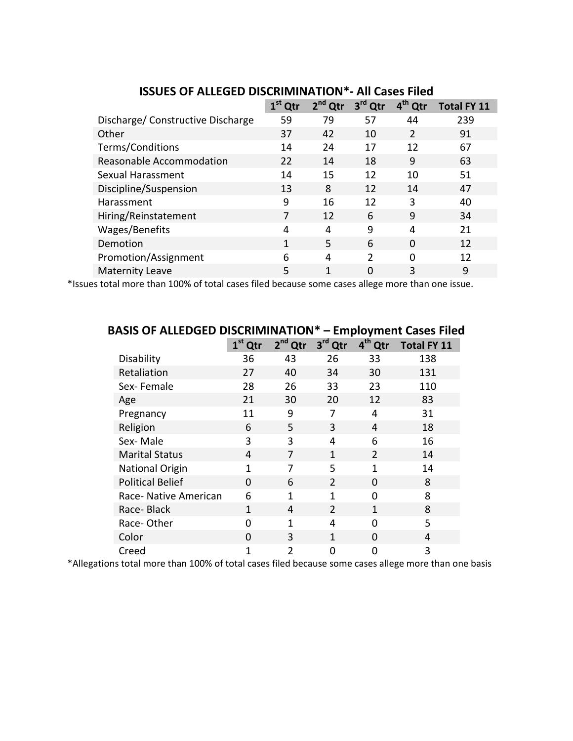|                                   | $1st$ Qtr | $2nd$ Qtr | 3 <sup>rd</sup> Qtr | 4 <sup>th</sup><br>Qtr | <b>Total FY 11</b> |  |
|-----------------------------------|-----------|-----------|---------------------|------------------------|--------------------|--|
| Discharge/ Constructive Discharge | 59        | 79        | 57                  | 44                     | 239                |  |
| Other                             | 37        | 42        | 10                  | $\overline{2}$         | 91                 |  |
| Terms/Conditions                  | 14        | 24        | 17                  | 12                     | 67                 |  |
| Reasonable Accommodation          | 22        | 14        | 18                  | 9                      | 63                 |  |
| Sexual Harassment                 | 14        | 15        | 12                  | 10                     | 51                 |  |
| Discipline/Suspension             | 13        | 8         | 12                  | 14                     | 47                 |  |
| Harassment                        | 9         | 16        | 12                  | 3                      | 40                 |  |
| Hiring/Reinstatement              |           | 12        | 6                   | 9                      | 34                 |  |
| Wages/Benefits                    | 4         | 4         | 9                   | 4                      | 21                 |  |
| Demotion                          | 1         | 5.        | 6                   | $\Omega$               | 12                 |  |
| Promotion/Assignment              | 6         | 4         | $\mathcal{P}$       | $\Omega$               | 12                 |  |
| <b>Maternity Leave</b>            | 5         | 1         | $\Omega$            | 3                      | 9                  |  |

#### **ISSUES OF ALLEGED DISCRIMINATION\*- All Cases Filed**

\*Issues total more than 100% of total cases filed because some cases allege more than one issue.

|                         | $1st$ Qtr    | 2 <sup>nd</sup> Qtr | 3rd Qtr        | 4 <sup>th</sup><br>Qtr | <b>Total FY 11</b> |  |
|-------------------------|--------------|---------------------|----------------|------------------------|--------------------|--|
| Disability              | 36           | 43                  | 26             | 33                     | 138                |  |
| Retaliation             | 27           | 40                  | 34             | 30                     | 131                |  |
| Sex-Female              | 28           | 26                  | 33             | 23                     | 110                |  |
| Age                     | 21           | 30                  | 20             | 12                     | 83                 |  |
| Pregnancy               | 11           | 9                   | 7              | 4                      | 31                 |  |
| Religion                | 6            | 5                   | 3              | 4                      | 18                 |  |
| Sex-Male                | 3            | 3                   | 4              | 6                      | 16                 |  |
| <b>Marital Status</b>   | 4            | 7                   | 1              | $\overline{2}$         | 14                 |  |
| <b>National Origin</b>  | $\mathbf{1}$ | 7                   | 5              | $\mathbf{1}$           | 14                 |  |
| <b>Political Belief</b> | $\Omega$     | 6                   | $\mathfrak{p}$ | $\Omega$               | 8                  |  |
| Race- Native American   | 6            | $\mathbf{1}$        | $\mathbf{1}$   | $\Omega$               | 8                  |  |
| Race-Black              | 1            | 4                   | $\overline{2}$ | 1                      | 8                  |  |
| Race-Other              | O            | $\overline{1}$      | 4              | $\Omega$               | 5                  |  |
| Color                   | O            | 3                   | 1              | $\Omega$               | 4                  |  |
| Creed                   | 1            | 2                   | N              | 0                      | 3                  |  |

### **BASIS OF ALLEDGED DISCRIMINATION\* – Employment Cases Filed**

\*Allegations total more than 100% of total cases filed because some cases allege more than one basis